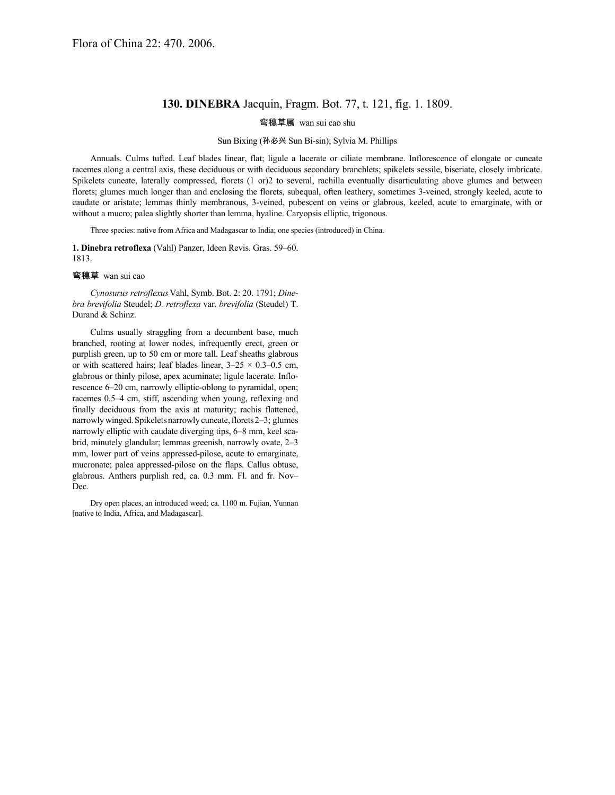## **130. DINEBRA** Jacquin, Fragm. Bot. 77, t. 121, fig. 1. 1809.

弯穗草属 wan sui cao shu

## Sun Bixing (孙必兴 Sun Bi-sin); Sylvia M. Phillips

Annuals. Culms tufted. Leaf blades linear, flat; ligule a lacerate or ciliate membrane. Inflorescence of elongate or cuneate racemes along a central axis, these deciduous or with deciduous secondary branchlets; spikelets sessile, biseriate, closely imbricate. Spikelets cuneate, laterally compressed, florets (1 or)2 to several, rachilla eventually disarticulating above glumes and between florets; glumes much longer than and enclosing the florets, subequal, often leathery, sometimes 3-veined, strongly keeled, acute to caudate or aristate; lemmas thinly membranous, 3-veined, pubescent on veins or glabrous, keeled, acute to emarginate, with or without a mucro; palea slightly shorter than lemma, hyaline. Caryopsis elliptic, trigonous.

Three species: native from Africa and Madagascar to India; one species (introduced) in China.

**1. Dinebra retroflexa** (Vahl) Panzer, Ideen Revis. Gras. 59–60. 1813.

弯穗草 wan sui cao

*Cynosurus retroflexus*Vahl, Symb. Bot. 2: 20. 1791; *Dinebra brevifolia* Steudel; *D. retroflexa* var. *brevifolia* (Steudel) T. Durand & Schinz.

Culms usually straggling from a decumbent base, much branched, rooting at lower nodes, infrequently erect, green or purplish green, up to 50 cm or more tall. Leaf sheaths glabrous or with scattered hairs; leaf blades linear,  $3-25 \times 0.3-0.5$  cm, glabrous or thinly pilose, apex acuminate; ligule lacerate. Inflorescence 6–20 cm, narrowly elliptic-oblong to pyramidal, open; racemes 0.5–4 cm, stiff, ascending when young, reflexing and finally deciduous from the axis at maturity; rachis flattened, narrowly winged. Spikelets narrowly cuneate, florets 2–3; glumes narrowly elliptic with caudate diverging tips, 6–8 mm, keel scabrid, minutely glandular; lemmas greenish, narrowly ovate, 2–3 mm, lower part of veins appressed-pilose, acute to emarginate, mucronate; palea appressed-pilose on the flaps. Callus obtuse, glabrous. Anthers purplish red, ca. 0.3 mm. Fl. and fr. Nov– Dec.

Dry open places, an introduced weed; ca. 1100 m. Fujian, Yunnan [native to India, Africa, and Madagascar].